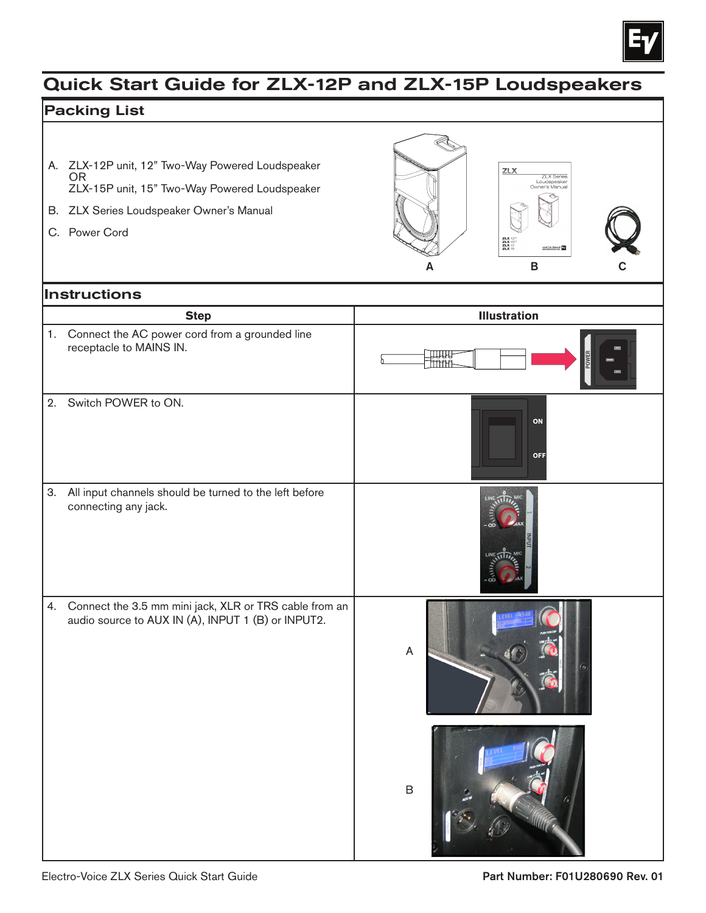

## Quick Start Guide for ZLX-12P and ZLX-15P Loudspeakers

## Packing List

- A. ZLX-12P unit, 12" Two-Way Powered Loudspeaker OR ZLX-15P unit, 15" Two-Way Powered Loudspeaker
- B. ZLX Series Loudspeaker Owner's Manual
- C. Power Cord



## Instructions

|    | <b>Step</b>                                                                                                     | <b>Illustration</b> |
|----|-----------------------------------------------------------------------------------------------------------------|---------------------|
|    | 1. Connect the AC power cord from a grounded line<br>receptacle to MAINS IN.                                    |                     |
| 2. | Switch POWER to ON.                                                                                             | ON<br>OFF           |
| 3. | All input channels should be turned to the left before<br>connecting any jack.                                  | LINE TIT<br>LINE 11 |
|    | 4. Connect the 3.5 mm mini jack, XLR or TRS cable from an<br>audio source to AUX IN (A), INPUT 1 (B) or INPUT2. | $\mathsf A$         |
|    |                                                                                                                 | $\mathsf B$         |